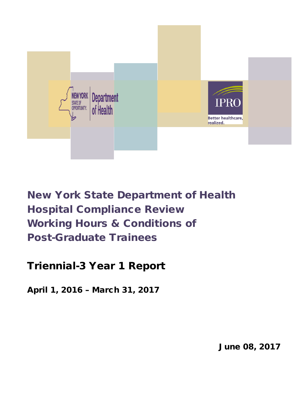

New York State Department of Health Hospital Compliance Review Working Hours & Conditions of Post-Graduate Trainees

# Triennial-3 Year 1 Report

April 1, 2016 – March 31, 2017

June 08, 2017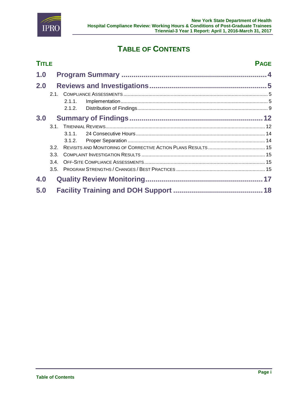

## **TABLE OF CONTENTS**

|     | <b>TITLE</b><br><b>PAGE</b> |        |  |  |  |
|-----|-----------------------------|--------|--|--|--|
| 1.0 |                             |        |  |  |  |
| 2.0 |                             |        |  |  |  |
|     | 2.1                         |        |  |  |  |
|     |                             | 2.1.1. |  |  |  |
|     |                             | 2.1.2. |  |  |  |
| 3.0 |                             |        |  |  |  |
|     |                             |        |  |  |  |
|     |                             | 311    |  |  |  |
|     |                             | 3.1.2. |  |  |  |
|     | 32                          |        |  |  |  |
|     | 3.3.                        |        |  |  |  |
|     | 3.4.                        |        |  |  |  |
|     | 3.5.                        |        |  |  |  |
| 4.0 |                             |        |  |  |  |
| 5.0 |                             |        |  |  |  |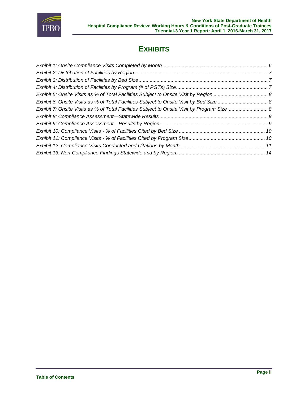

### **EXHIBITS**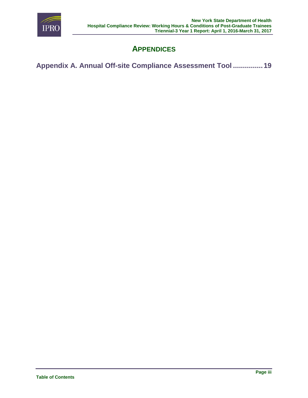

## **APPENDICES**

**[Appendix A. Annual Off-site Compliance](#page-19-0) Assessment Tool ...............19**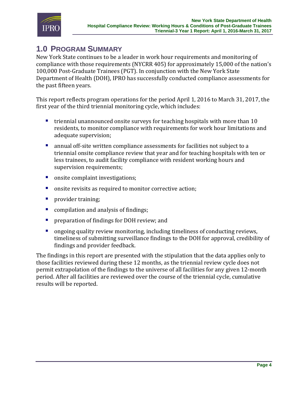

### <span id="page-4-0"></span>**1.0 PROGRAM SUMMARY**

New York State continues to be a leader in work hour requirements and monitoring of compliance with those requirements (NYCRR 405) for approximately 15,000 of the nation's 100,000 Post-Graduate Trainees (PGT). In conjunction with the New York State Department of Health (DOH), IPRO has successfully conducted compliance assessments for the past fifteen years.

This report reflects program operations for the period April 1, 2016 to March 31, 2017, the first year of the third triennial monitoring cycle, which includes:

- **•** triennial unannounced onsite surveys for teaching hospitals with more than 10 residents, to monitor compliance with requirements for work hour limitations and adequate supervision;
- annual off-site written compliance assessments for facilities not subject to a triennial onsite compliance review that year and for teaching hospitals with ten or less trainees, to audit facility compliance with resident working hours and supervision requirements;
- **n** onsite complaint investigations;
- **n** onsite revisits as required to monitor corrective action;
- **provider training;**
- **COMPILATION 6 2018 12:33 COMPILATION COMPILATION CONDUCT: COMPILATION CONDUCT:**  $\vec{r}$  **COMPILATION CONDUCT:**  $\vec{r}$  **COMPILATION CONDUCT:**  $\vec{r}$  **COMPILATION CONDUCT:**  $\vec{r}$  **COMPILATION CONDUCT:**
- **Permitted Preparation of findings for DOH review; and**
- ongoing quality review monitoring, including timeliness of conducting reviews, timeliness of submitting surveillance findings to the DOH for approval, credibility of findings and provider feedback.

The findings in this report are presented with the stipulation that the data applies only to those facilities reviewed during these 12 months, as the triennial review cycle does not permit extrapolation of the findings to the universe of all facilities for any given 12-month period. After all facilities are reviewed over the course of the triennial cycle, cumulative results will be reported.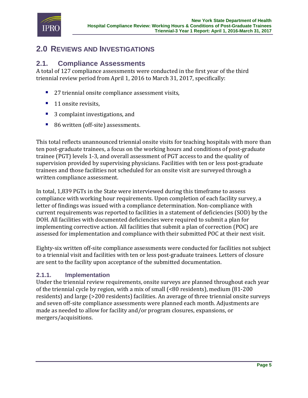

### <span id="page-5-0"></span>**2.0 REVIEWS AND INVESTIGATIONS**

### <span id="page-5-1"></span>**2.1. Compliance Assessments**

A total of 127 compliance assessments were conducted in the first year of the third triennial review period from April 1, 2016 to March 31, 2017, specifically:

- 27 triennial onsite compliance assessment visits,
- 11 onsite revisits,
- 3 complaint investigations, and
- 86 written (off-site) assessments.

This total reflects unannounced triennial onsite visits for teaching hospitals with more than ten post-graduate trainees, a focus on the working hours and conditions of post-graduate trainee (PGT) levels 1-3, and overall assessment of PGT access to and the quality of supervision provided by supervising physicians. Facilities with ten or less post-graduate trainees and those facilities not scheduled for an onsite visit are surveyed through a written compliance assessment.

In total, 1,839 PGTs in the State were interviewed during this timeframe to assess compliance with working hour requirements. Upon completion of each facility survey, a letter of findings was issued with a compliance determination. Non-compliance with current requirements was reported to facilities in a statement of deficiencies (SOD) by the DOH. All facilities with documented deficiencies were required to submit a plan for implementing corrective action. All facilities that submit a plan of correction (POC) are assessed for implementation and compliance with their submitted POC at their next visit.

Eighty-six written off-site compliance assessments were conducted for facilities not subject to a triennial visit and facilities with ten or less post-graduate trainees. Letters of closure are sent to the facility upon acceptance of the submitted documentation.

#### <span id="page-5-2"></span>**2.1.1. Implementation**

Under the triennial review requirements, onsite surveys are planned throughout each year of the triennial cycle by region, with a mix of small (<80 residents), medium (81-200 residents) and large (>200 residents) facilities. An average of three triennial onsite surveys and seven off-site compliance assessments were planned each month. Adjustments are made as needed to allow for facility and/or program closures, expansions, or mergers/acquisitions.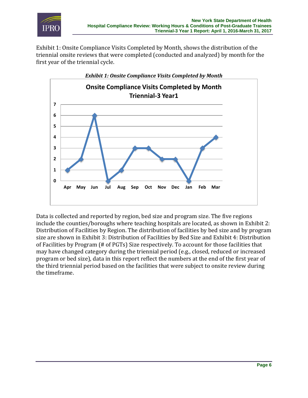

[Exhibit 1: Onsite Compliance Visits Completed by Month,](#page-6-0) shows the distribution of the triennial onsite reviews that were completed (conducted and analyzed) by month for the first year of the triennial cycle.

<span id="page-6-0"></span>

Data is collected and reported by region, bed size and program size. The five regions include the counties/boroughs where teaching hospitals are located, as shown i[n Exhibit 2:](#page-7-0)  [Distribution of Facilities by Region.](#page-7-0) The distribution of facilities by bed size and by program size are shown in [Exhibit 3: Distribution of Facilities by Bed Size](#page-7-1) and [Exhibit 4: Distribution](#page-7-2)  [of Facilities by Program \(# of PGTs\) Size](#page-7-2) respectively. To account for those facilities that may have changed category during the triennial period (e.g., closed, reduced or increased program or bed size), data in this report reflect the numbers at the end of the first year of the third triennial period based on the facilities that were subject to onsite review during the timeframe.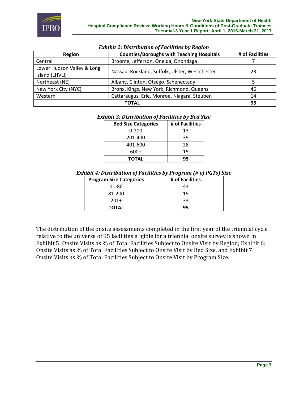

#### *Exhibit 2: Distribution of Facilities by Region*

<span id="page-7-0"></span>

| Region                                       | <b>Counties/Boroughs with Teaching Hospitals</b> | # of Facilities |
|----------------------------------------------|--------------------------------------------------|-----------------|
| Central                                      | Broome, Jefferson, Oneida, Onondaga              |                 |
| Lower Hudson Valley & Long<br>Island (LHVLI) | Nassau, Rockland, Suffolk, Ulster, Westchester   | 23              |
| Northeast (NE)                               | Albany, Clinton, Otsego, Schenectady             |                 |
| New York City (NYC)                          | Bronx, Kings, New York, Richmond, Queens         | 46              |
| Western                                      | Cattaraugus, Erie, Monroe, Niagara, Steuben      | 14              |
|                                              | 95                                               |                 |

#### <span id="page-7-1"></span>*Exhibit 3: Distribution of Facilities by Bed Size*

| <b>Bed Size Categories</b> | # of Facilities |
|----------------------------|-----------------|
| $0 - 200$                  | 13              |
| 201-400                    | 39              |
| 401-600                    | 28              |
| 600+                       | 15              |
| <b>TOTAL</b>               | 95              |

#### <span id="page-7-2"></span>*Exhibit 4: Distribution of Facilities by Program (# of PGTs) Size*

| <b>Program Size Categories</b> | # of Facilities |
|--------------------------------|-----------------|
| 11-80                          | 43              |
| 81-200                         | 19              |
| $201+$                         | २२              |
| <b>TOTAL</b>                   | q۵              |

The distribution of the onsite assessments completed in the first year of the triennial cycle relative to the universe of 95 facilities eligible for a triennial onsite survey is shown in [Exhibit 5: Onsite Visits as % of Total Facilities Subject to Onsite Visit by Region;](#page-8-0) [Exhibit 6:](#page-8-1)  [Onsite Visits as % of Total Facilities Subject to Onsite Visit by Bed Size,](#page-8-1) and [Exhibit 7:](#page-8-2)  [Onsite Visits as % of Total Facilities Subject to Onsite Visit by Program Size.](#page-8-2)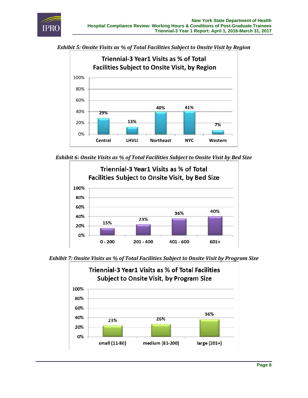

<span id="page-8-0"></span>



<span id="page-8-1"></span>*Exhibit 6: Onsite Visits as % of Total Facilities Subject to Onsite Visit by Bed Size*



<span id="page-8-2"></span>*Exhibit 7: Onsite Visits as % of Total Facilities Subject to Onsite Visit by Program Size*

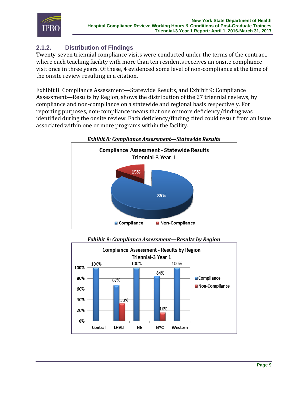

### <span id="page-9-0"></span>**2.1.2. Distribution of Findings**

Twenty-seven triennial compliance visits were conducted under the terms of the contract, where each teaching facility with more than ten residents receives an onsite compliance visit once in three years. Of these, 4 evidenced some level of non-compliance at the time of the onsite review resulting in a citation.

[Exhibit 8: Compliance Assessment—Statewide Results,](#page-9-1) and [Exhibit 9: Compliance](#page-9-2)  [Assessment—Results by Region,](#page-9-2) shows the distribution of the 27 triennial reviews, by compliance and non-compliance on a statewide and regional basis respectively. For reporting purposes, non-compliance means that one or more deficiency/finding was identified during the onsite review. Each deficiency/finding cited could result from an issue associated within one or more programs within the facility.

<span id="page-9-1"></span>

*Exhibit 9: Compliance Assessment—Results by Region*

<span id="page-9-2"></span>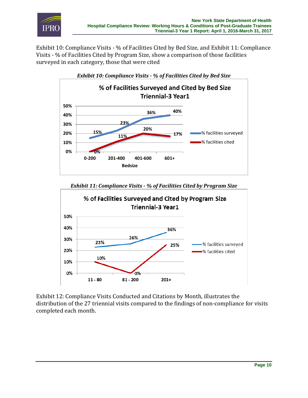

Exhibit 10: Compliance Visits - [% of Facilities Cited by Bed Size,](#page-10-0) an[d Exhibit 11: Compliance](#page-10-1)  Visits - [% of Facilities Cited by Program Size,](#page-10-1) show a comparison of those facilities surveyed in each category, those that were cited

<span id="page-10-0"></span>

*Exhibit 11: Compliance Visits - % of Facilities Cited by Program Size*

<span id="page-10-1"></span>

[Exhibit 12: Compliance Visits Conducted and Citations by Month,](#page-11-0) illustrates the distribution of the 27 triennial visits compared to the findings of non-compliance for visits completed each month.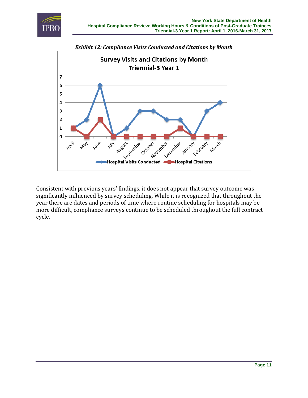

<span id="page-11-0"></span>

Consistent with previous years' findings, it does not appear that survey outcome was significantly influenced by survey scheduling. While it is recognized that throughout the year there are dates and periods of time where routine scheduling for hospitals may be more difficult, compliance surveys continue to be scheduled throughout the full contract cycle.

**Page 11**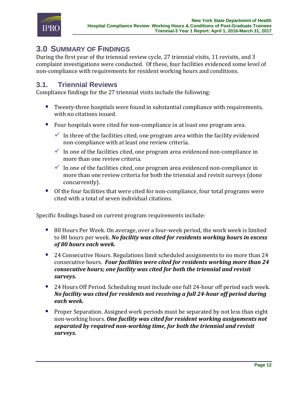

### <span id="page-12-0"></span>**3.0 SUMMARY OF FINDINGS**

During the first year of the triennial review cycle, 27 triennial visits, 11 revisits, and 3 complaint investigations were conducted. Of these, four facilities evidenced some level of non-compliance with requirements for resident working hours and conditions.

#### <span id="page-12-1"></span>**3.1. Triennial Reviews**

Compliance findings for the 27 triennial visits include the following:

- Twenty-three hospitals were found in substantial compliance with requirements, with no citations issued.
- Four hospitals were cited for non-compliance in at least one program area.
	- In three of the facilities cited, one program area within the facility evidenced non-compliance with at least one review criteria.
	- In one of the facilities cited, one program area evidenced non-compliance in more than one review criteria.
	- $\checkmark$  In one of the facilities cited, one program area evidenced non-compliance in more than one review criteria for both the triennial and revisit surveys (done concurrently).
- Of the four facilities that were cited for non-compliance, four total programs were cited with a total of seven individual citations.

Specific findings based on current program requirements include:

- 80 Hours Per Week. On average, over a four-week period, the work week is limited to 80 hours per week. *No facility was cited for residents working hours in excess of 80 hours each week.*
- <sup>2</sup> 24 Consecutive Hours. Regulations limit scheduled assignments to no more than 24 consecutive hours. *Four facilities were cited for residents working more than 24 consecutive hours; one facility was cited for both the triennial and revisit surveys.*
- 24 Hours Off Period. Scheduling must include one full 24-hour off period each week. *No facility was cited for residents not receiving a full 24-hour off period during each week.*
- **Proper Separation. Assigned work periods must be separated by not less than eight** non-working hours. *One facility was cited for resident working assignments not separated by required non-working time, for both the triennial and revisit surveys.*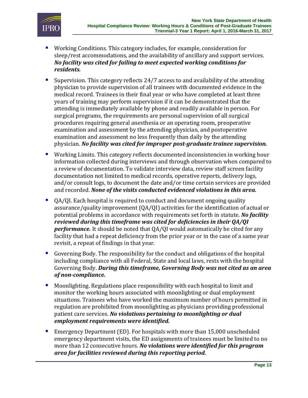

- Working Conditions. This category includes, for example, consideration for sleep/rest accommodations, and the availability of ancillary and support services. *No facility was cited for failing to meet expected working conditions for residents.*
- Supervision. This category reflects 24/7 access to and availability of the attending physician to provide supervision of all trainees with documented evidence in the medical record. Trainees in their final year or who have completed at least three years of training may perform supervision if it can be demonstrated that the attending is immediately available by phone and readily available in person. For surgical programs, the requirements are personal supervision of all surgical procedures requiring general anesthesia or an operating room, preoperative examination and assessment by the attending physician, and postoperative examination and assessment no less frequently than daily by the attending physician. *No facility was cited for improper post-graduate trainee supervision.*
- Working Limits. This category reflects documented inconsistencies in working hour information collected during interviews and through observation when compared to a review of documentation. To validate interview data, review staff screen facility documentation not limited to medical records, operative reports, delivery logs, and/or consult logs, to document the date and/or time certain services are provided and recorded. *None of the visits conducted evidenced violations in this area.*
- QA/QI. Each hospital is required to conduct and document ongoing quality assurance/quality improvement (QA/QI) activities for the identification of actual or potential problems in accordance with requirements set forth in statute. *No facility reviewed during this timeframe was cited for deficiencies in their QA/QI performance.* It should be noted that QA/QI would automatically be cited for any facility that had a repeat deficiency from the prior year or in the case of a same year revisit, a repeat of findings in that year.
- Governing Body. The responsibility for the conduct and obligations of the hospital including compliance with all Federal, State and local laws, rests with the hospital Governing Body. *During this timeframe, Governing Body was not cited as an area of non-compliance.*
- Moonlighting. Regulations place responsibility with each hospital to limit and monitor the working hours associated with moonlighting or dual employment situations. Trainees who have worked the maximum number of hours permitted in regulation are prohibited from moonlighting as physicians providing professional patient care services. *No violations pertaining to moonlighting or dual employment requirements were identified.*
- Emergency Department (ED). For hospitals with more than 15,000 unscheduled emergency department visits, the ED assignments of trainees must be limited to no more than 12 consecutive hours. *No violations were identified for this program area for facilities reviewed during this reporting period.*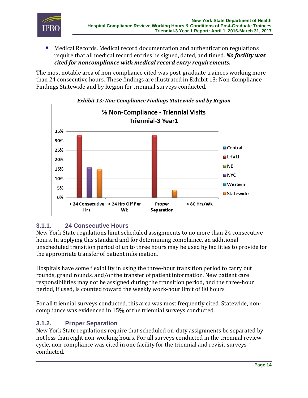

 Medical Records. Medical record documentation and authentication regulations require that all medical record entries be signed, dated, and timed. *No facility was cited for noncompliance with medical record entry requirements.*

The most notable area of non-compliance cited was post-graduate trainees working more than 24 consecutive hours. These findings are illustrated in [Exhibit 13: Non-Compliance](#page-14-2)  [Findings Statewide and by Region](#page-14-2) for triennial surveys conducted.

<span id="page-14-2"></span>



#### <span id="page-14-0"></span>**3.1.1. 24 Consecutive Hours**

New York State regulations limit scheduled assignments to no more than 24 consecutive hours. In applying this standard and for determining compliance, an additional unscheduled transition period of up to three hours may be used by facilities to provide for the appropriate transfer of patient information.

Hospitals have some flexibility in using the three-hour transition period to carry out rounds, grand rounds, and/or the transfer of patient information. New patient care responsibilities may not be assigned during the transition period, and the three-hour period, if used, is counted toward the weekly work-hour limit of 80 hours.

For all triennial surveys conducted, this area was most frequently cited. Statewide, noncompliance was evidenced in 15% of the triennial surveys conducted.

#### <span id="page-14-1"></span>**3.1.2. Proper Separation**

New York State regulations require that scheduled on-duty assignments be separated by not less than eight non-working hours. For all surveys conducted in the triennial review cycle, non-compliance was cited in one facility for the triennial and revisit surveys conducted.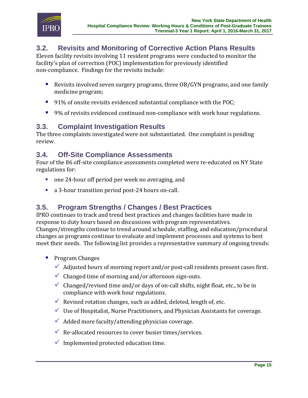

### <span id="page-15-0"></span>**3.2. Revisits and Monitoring of Corrective Action Plans Results**

Eleven facility revisits involving 11 resident programs were conducted to monitor the facility's plan of correction (POC) implementation for previously identified non-compliance. Findings for the revisits include:

- Revisits involved seven surgery programs, three OB/GYN programs, and one family medicine program;
- 91% of onsite revisits evidenced substantial compliance with the POC;
- 9% of revisits evidenced continued non-compliance with work hour regulations.

### <span id="page-15-1"></span>**3.3. Complaint Investigation Results**

The three complaints investigated were not substantiated. One complaint is pending review.

### <span id="page-15-2"></span>**3.4. Off-Site Compliance Assessments**

Four of the 86 off-site compliance assessments completed were re-educated on NY State regulations for:

- one 24-hour off period per week no averaging, and
- a 3-hour transition period post-24 hours on-call.

### <span id="page-15-3"></span>**3.5. Program Strengths / Changes / Best Practices**

IPRO continues to track and trend best practices and changes facilities have made in response to duty hours based on discussions with program representatives. Changes/strengths continue to trend around schedule, staffing, and education/procedural changes as programs continue to evaluate and implement processes and systems to best meet their needs. The following list provides a representative summary of ongoing trends:

- **Program Changes** 
	- $\checkmark$  Adjusted hours of morning report and/or post-call residents present cases first.
	- $\checkmark$  Changed time of morning and/or afternoon sign-outs.
	- Changed/revised time and/or days of on-call shifts, night float, etc., to be in compliance with work hour regulations.
	- Revised rotation changes, such as added, deleted, length of, etc.
	- $\checkmark$  Use of Hospitalist, Nurse Practitioners, and Physician Assistants for coverage.
	- $\checkmark$  Added more faculty/attending physician coverage.
	- $\sqrt{\phantom{a}}$  Re-allocated resources to cover busier times/services.
	- $\checkmark$  Implemented protected education time.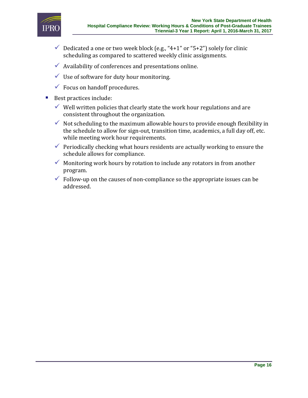

- $\checkmark$  Dedicated a one or two week block (e.g., "4+1" or "5+2") solely for clinic scheduling as compared to scattered weekly clinic assignments.
- $\checkmark$  Availability of conferences and presentations online.
- $\checkmark$  Use of software for duty hour monitoring.
- $\checkmark$  Focus on handoff procedures.
- Best practices include:
	- $\checkmark$  Well written policies that clearly state the work hour regulations and are consistent throughout the organization.
	- $\checkmark$  Not scheduling to the maximum allowable hours to provide enough flexibility in the schedule to allow for sign-out, transition time, academics, a full day off, etc. while meeting work hour requirements.
	- $\checkmark$  Periodically checking what hours residents are actually working to ensure the schedule allows for compliance.
	- $\checkmark$  Monitoring work hours by rotation to include any rotators in from another program.
	- $\checkmark$  Follow-up on the causes of non-compliance so the appropriate issues can be addressed.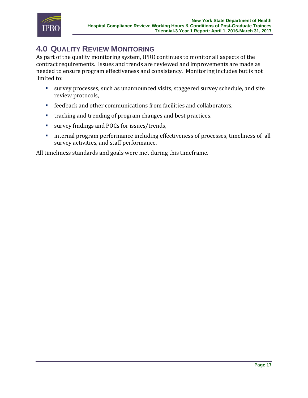

## <span id="page-17-0"></span>**4.0 QUALITY REVIEW MONITORING**

As part of the quality monitoring system, IPRO continues to monitor all aspects of the contract requirements. Issues and trends are reviewed and improvements are made as needed to ensure program effectiveness and consistency. Monitoring includes but is not limited to:

- survey processes, such as unannounced visits, staggered survey schedule, and site review protocols,
- feedback and other communications from facilities and collaborators,
- **the tracking and trending of program changes and best practices,**
- survey findings and POCs for issues/trends,
- **•** internal program performance including effectiveness of processes, timeliness of all survey activities, and staff performance.

All timeliness standards and goals were met during this timeframe.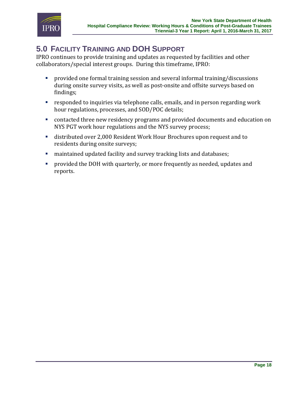

## <span id="page-18-0"></span>**5.0 FACILITY TRAINING AND DOH SUPPORT**

IPRO continues to provide training and updates as requested by facilities and other collaborators/special interest groups. During this timeframe, IPRO:

- provided one formal training session and several informal training/discussions during onsite survey visits, as well as post-onsite and offsite surveys based on findings;
- responded to inquiries via telephone calls, emails, and in person regarding work hour regulations, processes, and SOD/POC details;
- contacted three new residency programs and provided documents and education on NYS PGT work hour regulations and the NYS survey process;
- distributed over 2,000 Resident Work Hour Brochures upon request and to residents during onsite surveys;
- maintained updated facility and survey tracking lists and databases;
- provided the DOH with quarterly, or more frequently as needed, updates and reports.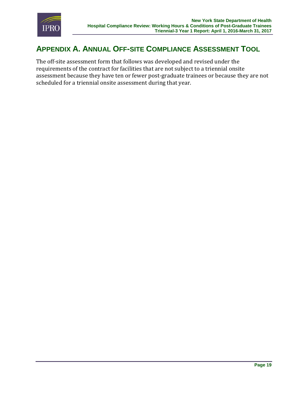

## <span id="page-19-0"></span>**APPENDIX A. ANNUAL OFF-SITE COMPLIANCE ASSESSMENT TOOL**

The off-site assessment form that follows was developed and revised under the requirements of the contract for facilities that are not subject to a triennial onsite assessment because they have ten or fewer post-graduate trainees or because they are not scheduled for a triennial onsite assessment during that year.